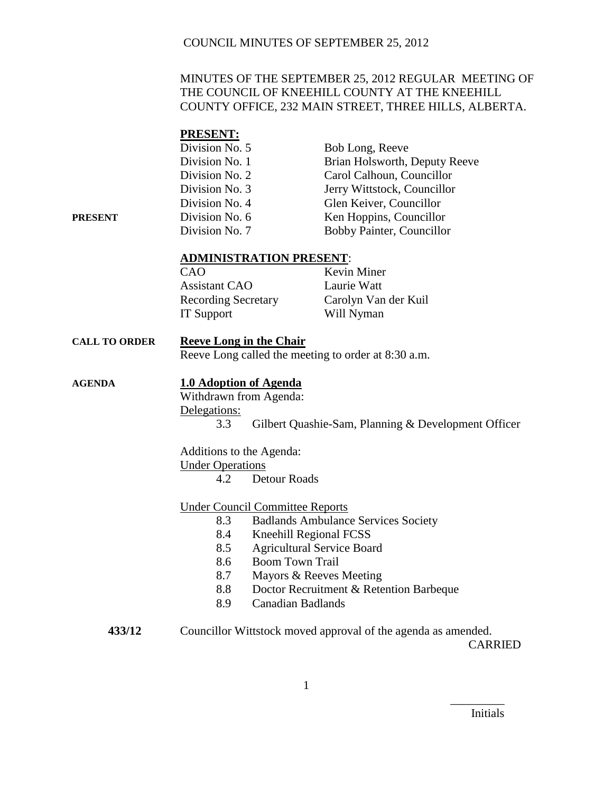## MINUTES OF THE SEPTEMBER 25, 2012 REGULAR MEETING OF THE COUNCIL OF KNEEHILL COUNTY AT THE KNEEHILL COUNTY OFFICE, 232 MAIN STREET, THREE HILLS, ALBERTA.

## **PRESENT:**

|         | Division No. 5 | Bob Long, Reeve               |
|---------|----------------|-------------------------------|
|         | Division No. 1 | Brian Holsworth, Deputy Reeve |
|         | Division No. 2 | Carol Calhoun, Councillor     |
|         | Division No. 3 | Jerry Wittstock, Councillor   |
|         | Division No. 4 | Glen Keiver, Councillor       |
| PRESENT | Division No. 6 | Ken Hoppins, Councillor       |
|         | Division No. 7 | Bobby Painter, Councillor     |

### **ADMINISTRATION PRESENT**:

| CAO                        | Kevin Miner          |
|----------------------------|----------------------|
| <b>Assistant CAO</b>       | Laurie Watt          |
| <b>Recording Secretary</b> | Carolyn Van der Kuil |
| <b>IT Support</b>          | Will Nyman           |

# **CALL TO ORDER Reeve Long in the Chair**

Reeve Long called the meeting to order at 8:30 a.m.

## **AGENDA 1.0 Adoption of Agenda**

Withdrawn from Agenda: Delegations: 3.3 Gilbert Quashie-Sam, Planning & Development Officer

Additions to the Agenda: Under Operations

4.2 Detour Roads

## Under Council Committee Reports

- 8.3 Badlands Ambulance Services Society
- 8.4 Kneehill Regional FCSS
- 8.5 Agricultural Service Board
- 8.6 Boom Town Trail
- 8.7 Mayors & Reeves Meeting
- 8.8 Doctor Recruitment & Retention Barbeque
- 8.9 Canadian Badlands

| 433/12 | Councillor Wittstock moved approval of the agenda as amended. |
|--------|---------------------------------------------------------------|
|        | CARRIED                                                       |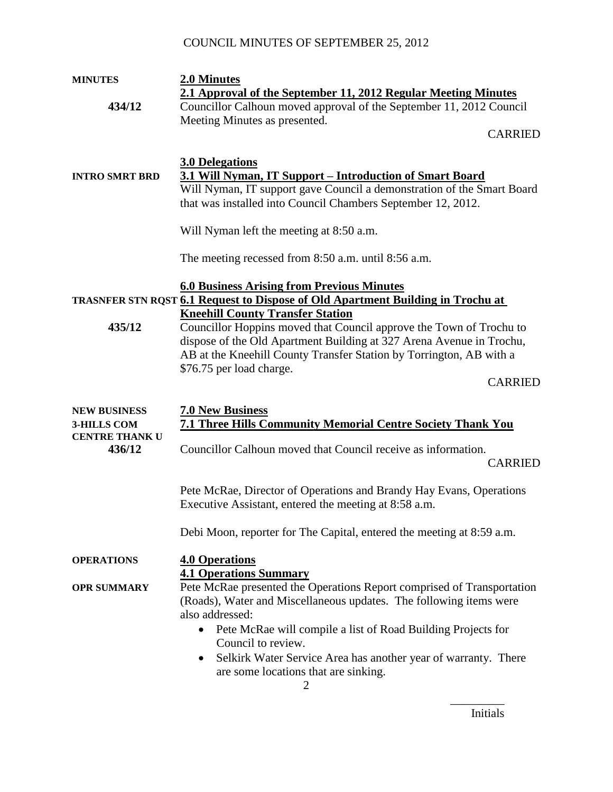| <b>MINUTES</b>        | 2.0 Minutes                                                                                                         |
|-----------------------|---------------------------------------------------------------------------------------------------------------------|
|                       | 2.1 Approval of the September 11, 2012 Regular Meeting Minutes                                                      |
| 434/12                | Councillor Calhoun moved approval of the September 11, 2012 Council                                                 |
|                       | Meeting Minutes as presented.                                                                                       |
|                       | <b>CARRIED</b>                                                                                                      |
|                       |                                                                                                                     |
|                       | <b>3.0 Delegations</b>                                                                                              |
| <b>INTRO SMRT BRD</b> | 3.1 Will Nyman, IT Support - Introduction of Smart Board                                                            |
|                       | Will Nyman, IT support gave Council a demonstration of the Smart Board                                              |
|                       | that was installed into Council Chambers September 12, 2012.                                                        |
|                       |                                                                                                                     |
|                       | Will Nyman left the meeting at 8:50 a.m.                                                                            |
|                       |                                                                                                                     |
|                       | The meeting recessed from 8:50 a.m. until 8:56 a.m.                                                                 |
|                       |                                                                                                                     |
|                       | <b>6.0 Business Arising from Previous Minutes</b>                                                                   |
|                       | <b>TRASNFER STN RQST 6.1 Request to Dispose of Old Apartment Building in Trochu at</b>                              |
|                       | <b>Kneehill County Transfer Station</b>                                                                             |
| 435/12                | Councillor Hoppins moved that Council approve the Town of Trochu to                                                 |
|                       | dispose of the Old Apartment Building at 327 Arena Avenue in Trochu,                                                |
|                       | AB at the Kneehill County Transfer Station by Torrington, AB with a                                                 |
|                       | \$76.75 per load charge.                                                                                            |
|                       | <b>CARRIED</b>                                                                                                      |
|                       |                                                                                                                     |
| <b>NEW BUSINESS</b>   | <b>7.0 New Business</b>                                                                                             |
| 3-HILLS COM           | <b>7.1 Three Hills Community Memorial Centre Society Thank You</b>                                                  |
| <b>CENTRE THANK U</b> |                                                                                                                     |
| 436/12                | Councillor Calhoun moved that Council receive as information.                                                       |
|                       | <b>CARRIED</b>                                                                                                      |
|                       |                                                                                                                     |
|                       | Pete McRae, Director of Operations and Brandy Hay Evans, Operations                                                 |
|                       | Executive Assistant, entered the meeting at 8:58 a.m.                                                               |
|                       |                                                                                                                     |
|                       | Debi Moon, reporter for The Capital, entered the meeting at 8:59 a.m.                                               |
|                       |                                                                                                                     |
| <b>OPERATIONS</b>     | <b>4.0 Operations</b>                                                                                               |
|                       | <b>4.1 Operations Summary</b>                                                                                       |
| <b>OPR SUMMARY</b>    | Pete McRae presented the Operations Report comprised of Transportation                                              |
|                       | (Roads), Water and Miscellaneous updates. The following items were                                                  |
|                       |                                                                                                                     |
|                       | also addressed:                                                                                                     |
|                       | Pete McRae will compile a list of Road Building Projects for<br>$\bullet$                                           |
|                       | Council to review.                                                                                                  |
|                       | Selkirk Water Service Area has another year of warranty. There<br>$\bullet$<br>are some locations that are sinking. |

Initials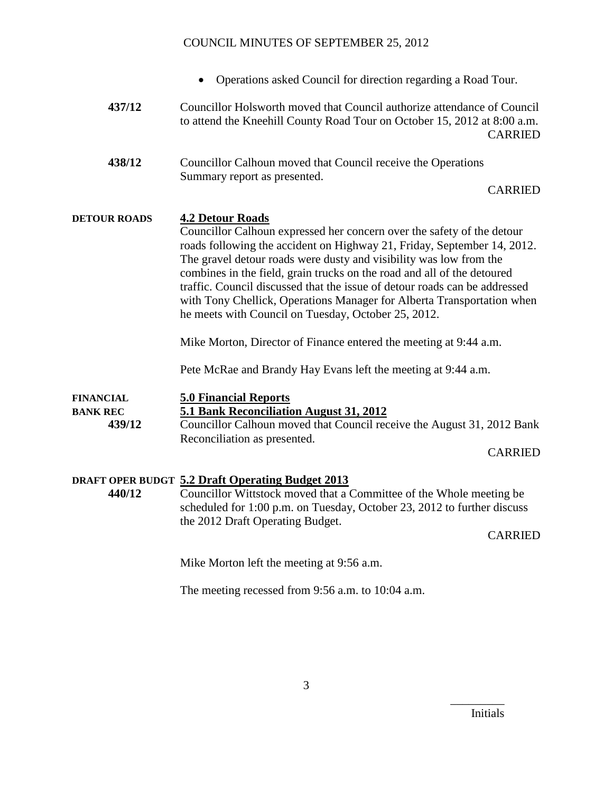- Operations asked Council for direction regarding a Road Tour.
- **437/12** Councillor Holsworth moved that Council authorize attendance of Council to attend the Kneehill County Road Tour on October 15, 2012 at 8:00 a.m. CARRIED
- **438/12** Councillor Calhoun moved that Council receive the Operations Summary report as presented.

#### CARRIED

### **DETOUR ROADS 4.2 Detour Roads**

Councillor Calhoun expressed her concern over the safety of the detour roads following the accident on Highway 21, Friday, September 14, 2012. The gravel detour roads were dusty and visibility was low from the combines in the field, grain trucks on the road and all of the detoured traffic. Council discussed that the issue of detour roads can be addressed with Tony Chellick, Operations Manager for Alberta Transportation when he meets with Council on Tuesday, October 25, 2012.

Mike Morton, Director of Finance entered the meeting at 9:44 a.m.

Pete McRae and Brandy Hay Evans left the meeting at 9:44 a.m.

## **FINANCIAL 5.0 Financial Reports**

**BANK REC 5.1 Bank Reconciliation August 31, 2012**

**439/12** Councillor Calhoun moved that Council receive the August 31, 2012 Bank Reconciliation as presented.

CARRIED

### **DRAFT OPER BUDGT 5.2 Draft Operating Budget 2013**

**440/12** Councillor Wittstock moved that a Committee of the Whole meeting be scheduled for 1:00 p.m. on Tuesday, October 23, 2012 to further discuss the 2012 Draft Operating Budget.

CARRIED

Mike Morton left the meeting at 9:56 a.m.

The meeting recessed from 9:56 a.m. to 10:04 a.m.

Initials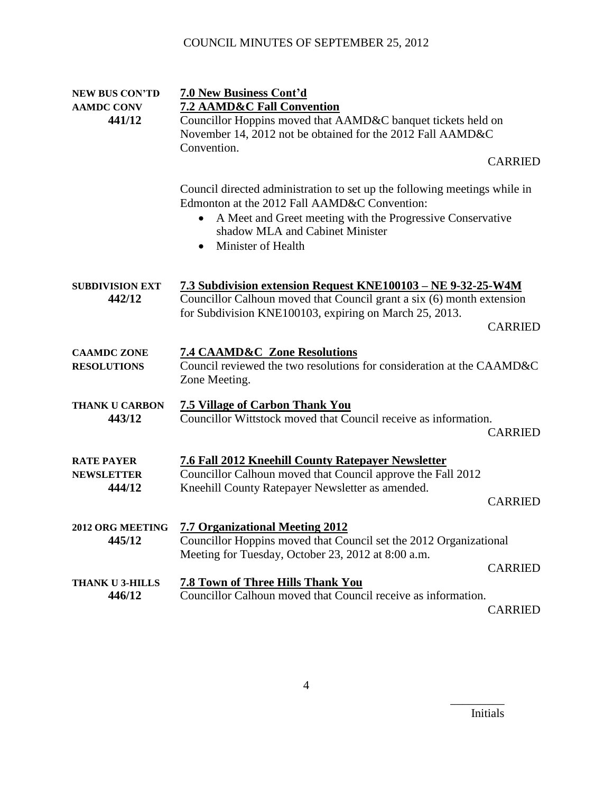| <b>NEW BUS CON'TD</b>                            | 7.0 New Business Cont'd                                                                                                                                                                                                                                       |                                  |
|--------------------------------------------------|---------------------------------------------------------------------------------------------------------------------------------------------------------------------------------------------------------------------------------------------------------------|----------------------------------|
| <b>AAMDC CONV</b>                                | <b>7.2 AAMD&amp;C Fall Convention</b>                                                                                                                                                                                                                         |                                  |
| 441/12                                           | Councillor Hoppins moved that AAMD&C banquet tickets held on<br>November 14, 2012 not be obtained for the 2012 Fall AAMD&C                                                                                                                                    |                                  |
|                                                  | Convention.                                                                                                                                                                                                                                                   | <b>CARRIED</b>                   |
|                                                  | Council directed administration to set up the following meetings while in<br>Edmonton at the 2012 Fall AAMD&C Convention:<br>A Meet and Greet meeting with the Progressive Conservative<br>shadow MLA and Cabinet Minister<br>Minister of Health<br>$\bullet$ |                                  |
| <b>SUBDIVISION EXT</b><br>442/12                 | 7.3 Subdivision extension Request KNE100103 - NE 9-32-25-W4M<br>Councillor Calhoun moved that Council grant a six (6) month extension<br>for Subdivision KNE100103, expiring on March 25, 2013.                                                               | <b>CARRIED</b>                   |
| <b>CAAMDC ZONE</b><br><b>RESOLUTIONS</b>         | <b>7.4 CAAMD&amp;C Zone Resolutions</b><br>Council reviewed the two resolutions for consideration at the CAAMD&C<br>Zone Meeting.                                                                                                                             |                                  |
| <b>THANK U CARBON</b><br>443/12                  | <b>7.5 Village of Carbon Thank You</b><br>Councillor Wittstock moved that Council receive as information.                                                                                                                                                     | <b>CARRIED</b>                   |
| <b>RATE PAYER</b><br><b>NEWSLETTER</b><br>444/12 | <b>7.6 Fall 2012 Kneehill County Ratepayer Newsletter</b><br>Councillor Calhoun moved that Council approve the Fall 2012<br>Kneehill County Ratepayer Newsletter as amended.                                                                                  | <b>CARRIED</b>                   |
| 2012 ORG MEETING<br>445/12                       | <b>7.7 Organizational Meeting 2012</b><br>Councillor Hoppins moved that Council set the 2012 Organizational<br>Meeting for Tuesday, October 23, 2012 at 8:00 a.m.                                                                                             |                                  |
| <b>THANK U 3-HILLS</b><br>446/12                 | <b>7.8 Town of Three Hills Thank You</b><br>Councillor Calhoun moved that Council receive as information.                                                                                                                                                     | <b>CARRIED</b><br><b>CARRIED</b> |
|                                                  |                                                                                                                                                                                                                                                               |                                  |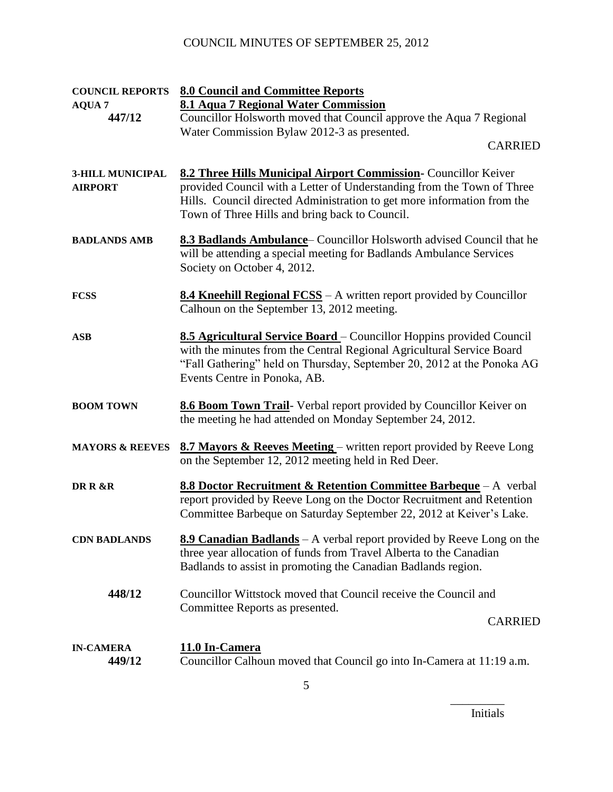| <b>COUNCIL REPORTS</b>                    | <b>8.0 Council and Committee Reports</b>                                                                                                                                                                                                                               |
|-------------------------------------------|------------------------------------------------------------------------------------------------------------------------------------------------------------------------------------------------------------------------------------------------------------------------|
| <b>AQUA 7</b>                             | 8.1 Aqua 7 Regional Water Commission                                                                                                                                                                                                                                   |
| 447/12                                    | Councillor Holsworth moved that Council approve the Aqua 7 Regional                                                                                                                                                                                                    |
|                                           | Water Commission Bylaw 2012-3 as presented.                                                                                                                                                                                                                            |
|                                           | <b>CARRIED</b>                                                                                                                                                                                                                                                         |
| <b>3-HILL MUNICIPAL</b><br><b>AIRPORT</b> | 8.2 Three Hills Municipal Airport Commission- Councillor Keiver<br>provided Council with a Letter of Understanding from the Town of Three<br>Hills. Council directed Administration to get more information from the<br>Town of Three Hills and bring back to Council. |
| <b>BADLANDS AMB</b>                       | <b>8.3 Badlands Ambulance</b> Councillor Holsworth advised Council that he<br>will be attending a special meeting for Badlands Ambulance Services<br>Society on October 4, 2012.                                                                                       |
| <b>FCSS</b>                               | <b>8.4 Kneehill Regional FCSS</b> – A written report provided by Councillor<br>Calhoun on the September 13, 2012 meeting.                                                                                                                                              |
| <b>ASB</b>                                | 8.5 Agricultural Service Board – Councillor Hoppins provided Council<br>with the minutes from the Central Regional Agricultural Service Board<br>"Fall Gathering" held on Thursday, September 20, 2012 at the Ponoka AG<br>Events Centre in Ponoka, AB.                |
| <b>BOOM TOWN</b>                          | 8.6 Boom Town Trail- Verbal report provided by Councillor Keiver on<br>the meeting he had attended on Monday September 24, 2012.                                                                                                                                       |
| <b>MAYORS &amp; REEVES</b>                | <b>8.7 Mayors &amp; Reeves Meeting</b> – written report provided by Reeve Long<br>on the September 12, 2012 meeting held in Red Deer.                                                                                                                                  |
| DR R &R                                   | 8.8 Doctor Recruitment & Retention Committee Barbeque - A verbal<br>report provided by Reeve Long on the Doctor Recruitment and Retention<br>Committee Barbeque on Saturday September 22, 2012 at Keiver's Lake.                                                       |
| <b>CDN BADLANDS</b>                       | 8.9 Canadian Badlands - A verbal report provided by Reeve Long on the<br>three year allocation of funds from Travel Alberta to the Canadian<br>Badlands to assist in promoting the Canadian Badlands region.                                                           |
| 448/12                                    | Councillor Wittstock moved that Council receive the Council and<br>Committee Reports as presented.<br><b>CARRIED</b>                                                                                                                                                   |
| <b>IN-CAMERA</b><br>449/12                | 11.0 In-Camera<br>Councillor Calhoun moved that Council go into In-Camera at 11:19 a.m.                                                                                                                                                                                |

Initials